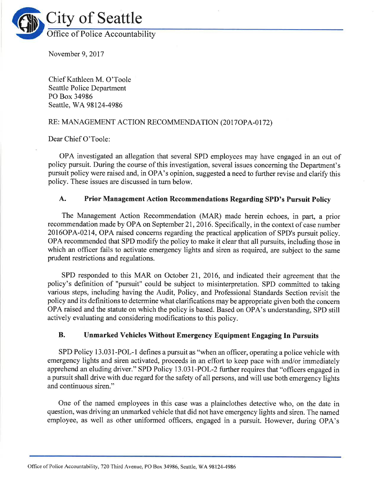

November 9,2017

Chief Kathleen M. O'Toole Seattle Police Department PO Box 34986 Seattle, WA 98124-4986

## RE: MANAGEMENT ACTION RECOMMENDATION (2017OPA-0172)

Dear Chief O'Toole:

OPA investigated an allegation that several SPD employees may have engaged in an out of policy pursuit. During the course of this investigation, several issues concerning the Department's pursuit policy were raised and, in OPA's opinion, suggested a need to further revise and clarify this policy. These issues are discussed in turn below.

## A. Prior Management Action Recommendations Regarding SPD's Pursuit Policy

The Management Action Recommendation (MAR) made herein echoes, in part, a prior recommendation made by OPA on September 21, 2016. Specifically, in the context of case number 2016OPA-0214, OPA raised concerns regarding the practical application of SPD's pursuit policy. OPA recommended that SPD modify the policy to make it clear that all pursuits, including those in which an officer fails to activate emergency lights and siren as required, are subject to the same prudent restrictions and regulations.

SPD responded to this MAR on October 21, 2016, and indicated their agreement that the policy's definition of "pursuit" could be subject to misinterpretation. SPD committed to taking various steps, including having the Audit, Policy, and Professional Standards Section revisit the policy and its definitions to determine what clarifications may be appropriate given both the concern OPA raised and the statute on which the policy is based. Based on OPA's understanding, SPD still actively evaluating and considering modifications to this policy.

## B. Unmarked Vehicles Without Emergency Equipment Engaging In Pursuits

SPD Policy 13.031-POL-1 defines a pursuit as "when an officer, operating a police vehicle with emergency lights and siren activated, proceeds in an effort to keep pace with and/or immediately apprehend an eluding driver." SPD Policy 13.031-POL-2 further requires that "officers engaged in <sup>a</sup>pursuit shall drive with due regard for the safety of all persons, and will use both emergency lights and continuous siren."

One of the named employees in this case was a plainclothes detective who, on the date in question, was driving an unmarked vehicle that did not have emergency lights and siren. The named employee, as well as other uniformed officers, engaged in a pursuit. However, during OPA's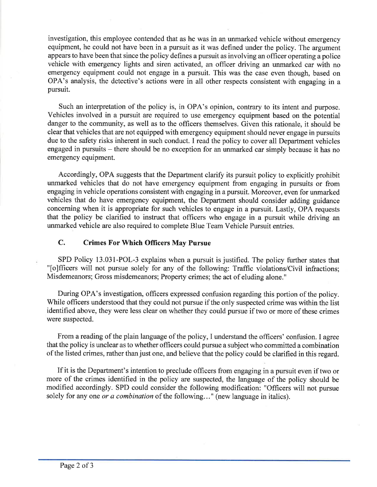investigation, this employee contended that as he was in an unmarked vehicle without emergency equipment, he could not have been in a pursuit as it was defined under the policy. The argument appears to have been that since the policy defines a pursuit as involving an officer operating a police vehicle with emergency lights and siren activated, an officer driving an unmarked car with no emergency equipment could not engage in a pursuit. This was the case even though, based on OPA's analysis, the detective's actions were in all other respects consistent with engaging in <sup>a</sup> pursuit.

Such an interpretation of the policy is, in OPA's opinion, contrary to its intent and purpose. Vehicles involved in a pursuit are required to use emergency equipment based on the potential danger to the community, as well as to the officers themselves. Given this rationale, it should be clear that vehicles that are not equipped with emergency equipment should never engage in pursuits due to the safety risks inherent in such conduct. I read the policy to cover all Department vehicles engaged in pursuits – there should be no exception for an unmarked car simply because it has no emergency equipment.

Accordingly, OPA suggests that the Department clarify its pursuit policy to explicitly prohibit unmarked vehicles that do not have emergency equipment from engaging in pursuits or from engaging in vehicle operations consistent with engaging in a pursuit. Moreover, even for unmarked vehicles that do have emergency equipment, the Department should consider adding guidance concerning when it is appropriate for such vehicles to engage in a pursuit. Lastly, OPA requests that the policy be clarified to instruct that officers who engage in a pursuit while driving an unmarked vehicle are also required to complete Blue Team Vehicle Pursuit entries.

## C. Crimes For Which Officers May Pursue

SPD Policy 13.031-POL-3 explains when a pursuit is justified. The policy further states that "[o]fficers will not pursue solely for any of the following: Traffic violations/Civil infractions; Misdemeanors; Gross misdemeanors; Property crimes; the act of eluding alone."

During OPA's investigation, officers expressed confusion regarding this portion of the policy. While officers understood that they could not pursue if the only suspected crime was within the list identified above, they were less clear on whether they could pursue if two or more of these crimes were suspected.

From a reading of the plain language of the policy, I understand the officers' confusion. I agree that the policy is unclear as to whether officers could pursue a subject who committed a combination of the listed crimes, rather than just one, and believe that the policy could be clarified in this regard.

If it is the Department's intention to preclude officers from engaging in a pursuit even if two or more of the crimes identified in the policy are suspected, the language of the policy should be modified accordingly. SPD could consider the following modification: "Officers will not pursue solely for any one *or a combination* of the following..." (new language in italics).